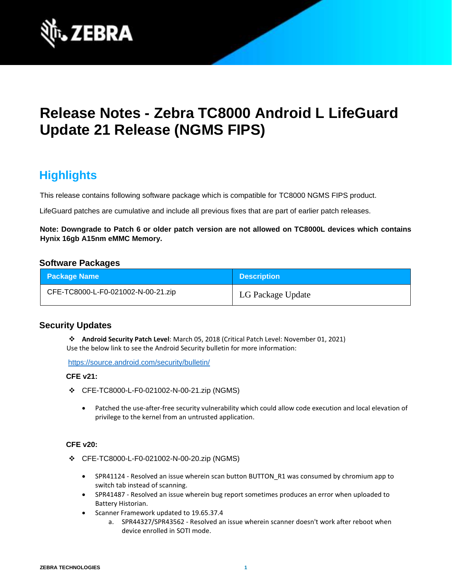

# **Release Notes - Zebra TC8000 Android L LifeGuard Update 21 Release (NGMS FIPS)**

## **Highlights**

This release contains following software package which is compatible for TC8000 NGMS FIPS product.

LifeGuard patches are cumulative and include all previous fixes that are part of earlier patch releases.

**Note: Downgrade to Patch 6 or older patch version are not allowed on TC8000L devices which contains Hynix 16gb A15nm eMMC Memory.**

## **Software Packages**

| <b>Package Name</b>                | <b>Description</b> |
|------------------------------------|--------------------|
| CFE-TC8000-L-F0-021002-N-00-21.zip | LG Package Update  |

## **Security Updates**

❖ **Android Security Patch Level**: March 05, 2018 (Critical Patch Level: November 01, 2021) Use the below link to see the Android Security bulletin for more information:

<https://source.android.com/security/bulletin/>

### **CFE v21:**

- ❖ CFE-TC8000-L-F0-021002-N-00-21.zip (NGMS)
	- Patched the use-after-free security vulnerability which could allow code execution and local elevation of privilege to the kernel from an untrusted application.

## **CFE v20:**

- ❖ CFE-TC8000-L-F0-021002-N-00-20.zip (NGMS)
	- SPR41124 Resolved an issue wherein scan button BUTTON R1 was consumed by chromium app to switch tab instead of scanning.
	- SPR41487 Resolved an issue wherein bug report sometimes produces an error when uploaded to Battery Historian.
	- Scanner Framework updated to 19.65.37.4
		- a. SPR44327/SPR43562 Resolved an issue wherein scanner doesn't work after reboot when device enrolled in SOTI mode.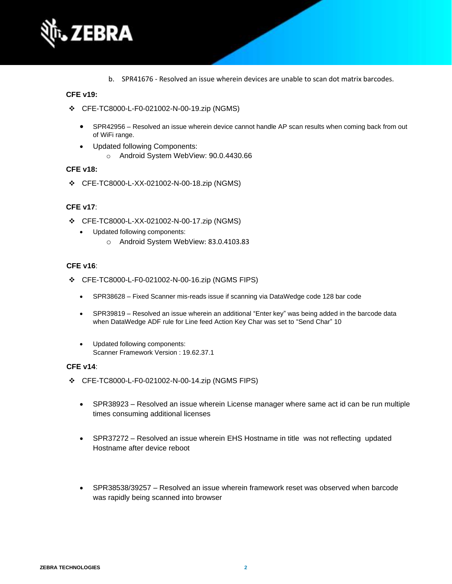

b. SPR41676 - Resolved an issue wherein devices are unable to scan dot matrix barcodes.

## **CFE v19:**

- ❖ CFE-TC8000-L-F0-021002-N-00-19.zip (NGMS)
	- SPR42956 Resolved an issue wherein device cannot handle AP scan results when coming back from out of WiFi range.
	- Updated following Components: o Android System WebView: 90.0.4430.66

#### **CFE v18:**

❖ CFE-TC8000-L-XX-021002-N-00-18.zip (NGMS)

### **CFE v17**:

- ❖ CFE-TC8000-L-XX-021002-N-00-17.zip (NGMS)
	- Updated following components:
		- o Android System WebView: 83.0.4103.83

### **CFE v16**:

- ❖ CFE-TC8000-L-F0-021002-N-00-16.zip (NGMS FIPS)
	- SPR38628 Fixed Scanner mis-reads issue if scanning via DataWedge code 128 bar code
	- SPR39819 Resolved an issue wherein an additional "Enter key" was being added in the barcode data when DataWedge ADF rule for Line feed Action Key Char was set to "Send Char" 10
	- Updated following components: Scanner Framework Version : 19.62.37.1

### **CFE v14**:

- ❖ CFE-TC8000-L-F0-021002-N-00-14.zip (NGMS FIPS)
	- SPR38923 Resolved an issue wherein License manager where same act id can be run multiple times consuming additional licenses
	- SPR37272 Resolved an issue wherein EHS Hostname in title was not reflecting updated Hostname after device reboot
	- SPR38538/39257 Resolved an issue wherein framework reset was observed when barcode was rapidly being scanned into browser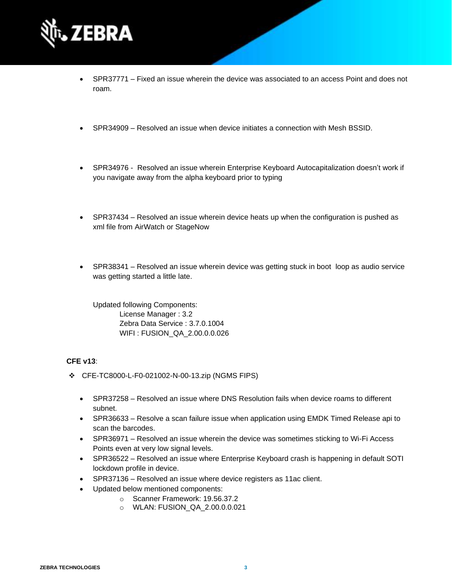

- SPR37771 Fixed an issue wherein the device was associated to an access Point and does not roam.
- SPR34909 Resolved an issue when device initiates a connection with Mesh BSSID.
- SPR34976 Resolved an issue wherein Enterprise Keyboard Autocapitalization doesn't work if you navigate away from the alpha keyboard prior to typing
- SPR37434 Resolved an issue wherein device heats up when the configuration is pushed as xml file from AirWatch or StageNow
- SPR38341 Resolved an issue wherein device was getting stuck in boot loop as audio service was getting started a little late.

Updated following Components: License Manager : 3.2 Zebra Data Service : 3.7.0.1004 WIFI : FUSION\_QA\_2.00.0.0.026

## **CFE v13**:

- ❖ CFE-TC8000-L-F0-021002-N-00-13.zip (NGMS FIPS)
	- SPR37258 Resolved an issue where DNS Resolution fails when device roams to different subnet.
	- SPR36633 Resolve a scan failure issue when application using EMDK Timed Release api to scan the barcodes.
	- SPR36971 Resolved an issue wherein the device was sometimes sticking to Wi-Fi Access Points even at very low signal levels.
	- SPR36522 Resolved an issue where Enterprise Keyboard crash is happening in default SOTI lockdown profile in device.
	- SPR37136 Resolved an issue where device registers as 11ac client.
	- Updated below mentioned components:
		- o Scanner Framework: 19.56.37.2
		- o WLAN: FUSION\_QA\_2.00.0.0.021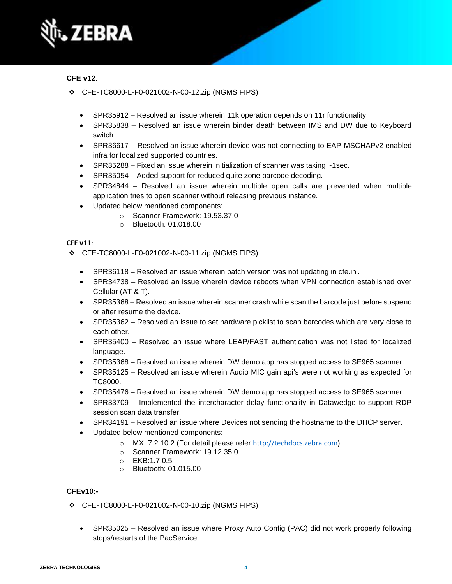

## **CFE v12**:

- ❖ CFE-TC8000-L-F0-021002-N-00-12.zip (NGMS FIPS)
	- SPR35912 Resolved an issue wherein 11k operation depends on 11r functionality
	- SPR35838 Resolved an issue wherein binder death between IMS and DW due to Keyboard switch
	- SPR36617 Resolved an issue wherein device was not connecting to EAP-MSCHAPv2 enabled infra for localized supported countries.
	- SPR35288 Fixed an issue wherein initialization of scanner was taking  $\sim$ 1sec.
	- SPR35054 Added support for reduced quite zone barcode decoding.
	- SPR34844 Resolved an issue wherein multiple open calls are prevented when multiple application tries to open scanner without releasing previous instance.
	- Updated below mentioned components:
		- o Scanner Framework: 19.53.37.0
		- o Bluetooth: 01.018.00

### **CFE v11**:

- ❖ CFE-TC8000-L-F0-021002-N-00-11.zip (NGMS FIPS)
	- SPR36118 Resolved an issue wherein patch version was not updating in cfe.ini.
	- SPR34738 Resolved an issue wherein device reboots when VPN connection established over Cellular (AT & T).
	- SPR35368 Resolved an issue wherein scanner crash while scan the barcode just before suspend or after resume the device.
	- SPR35362 Resolved an issue to set hardware picklist to scan barcodes which are very close to each other.
	- SPR35400 Resolved an issue where LEAP/FAST authentication was not listed for localized language.
	- SPR35368 Resolved an issue wherein DW demo app has stopped access to SE965 scanner.
	- SPR35125 Resolved an issue wherein Audio MIC gain api's were not working as expected for TC8000.
	- SPR35476 Resolved an issue wherein DW demo app has stopped access to SE965 scanner.
	- SPR33709 Implemented the intercharacter delay functionality in Datawedge to support RDP session scan data transfer.
	- SPR34191 Resolved an issue where Devices not sending the hostname to the DHCP server.
	- Updated below mentioned components:
		- o MX: 7.2.10.2 (For detail please refer [http://techdocs.zebra.com](http://techdocs.zebra.com/))
		- o Scanner Framework: 19.12.35.0
		- o EKB:1.7.0.5
		- o Bluetooth: 01.015.00

## **CFEv10:-**

- ❖ CFE-TC8000-L-F0-021002-N-00-10.zip (NGMS FIPS)
	- SPR35025 Resolved an issue where Proxy Auto Config (PAC) did not work properly following stops/restarts of the PacService.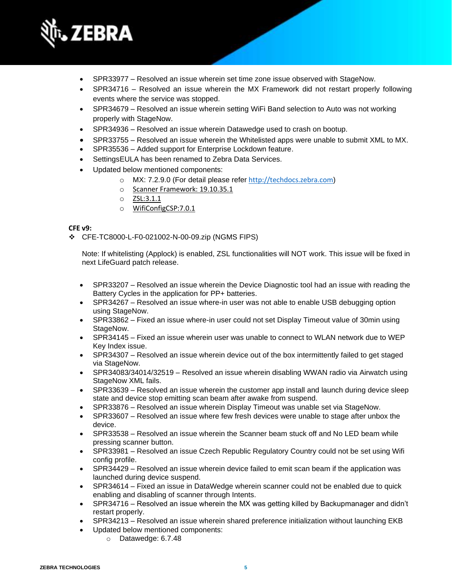

- SPR33977 Resolved an issue wherein set time zone issue observed with StageNow.
- SPR34716 Resolved an issue wherein the MX Framework did not restart properly following events where the service was stopped.
- SPR34679 Resolved an issue wherein setting WiFi Band selection to Auto was not working properly with StageNow.
- SPR34936 Resolved an issue wherein Datawedge used to crash on bootup.
- SPR33755 Resolved an issue wherein the Whitelisted apps were unable to submit XML to MX.
- SPR35536 Added support for Enterprise Lockdown feature.
- SettingsEULA has been renamed to Zebra Data Services.
- Updated below mentioned components:
	- o MX: 7.2.9.0 (For detail please refer [http://techdocs.zebra.com](http://techdocs.zebra.com/))
	- o Scanner Framework: 19.10.35.1
	- o ZSL:3.1.1
	- o WifiConfigCSP:7.0.1

### **CFE v9:**

❖ CFE-TC8000-L-F0-021002-N-00-09.zip (NGMS FIPS)

Note: If whitelisting (Applock) is enabled, ZSL functionalities will NOT work. This issue will be fixed in next LifeGuard patch release.

- SPR33207 Resolved an issue wherein the Device Diagnostic tool had an issue with reading the Battery Cycles in the application for PP+ batteries.
- SPR34267 Resolved an issue where-in user was not able to enable USB debugging option using StageNow.
- SPR33862 Fixed an issue where-in user could not set Display Timeout value of 30min using StageNow.
- SPR34145 Fixed an issue wherein user was unable to connect to WLAN network due to WEP Key Index issue.
- SPR34307 Resolved an issue wherein device out of the box intermittently failed to get staged via StageNow.
- SPR34083/34014/32519 Resolved an issue wherein disabling WWAN radio via Airwatch using StageNow XML fails.
- SPR33639 Resolved an issue wherein the customer app install and launch during device sleep state and device stop emitting scan beam after awake from suspend.
- SPR33876 Resolved an issue wherein Display Timeout was unable set via StageNow.
- SPR33607 Resolved an issue where few fresh devices were unable to stage after unbox the device.
- SPR33538 Resolved an issue wherein the Scanner beam stuck off and No LED beam while pressing scanner button.
- SPR33981 Resolved an issue Czech Republic Regulatory Country could not be set using Wifi config profile.
- SPR34429 Resolved an issue wherein device failed to emit scan beam if the application was launched during device suspend.
- SPR34614 Fixed an issue in DataWedge wherein scanner could not be enabled due to quick enabling and disabling of scanner through Intents.
- SPR34716 Resolved an issue wherein the MX was getting killed by Backupmanager and didn't restart properly.
- SPR34213 Resolved an issue wherein shared preference initialization without launching EKB
- Updated below mentioned components:
	- o Datawedge: 6.7.48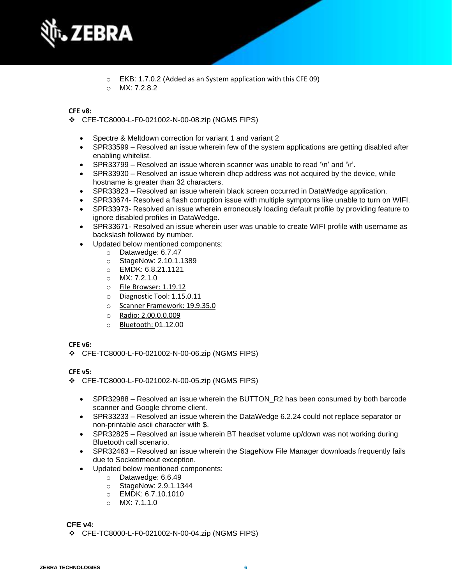

- o EKB: 1.7.0.2 (Added as an System application with this CFE 09)
- $O$  MX $.7282$

## **CFE v8:**

❖ CFE-TC8000-L-F0-021002-N-00-08.zip (NGMS FIPS)

- Spectre & Meltdown correction for variant 1 and variant 2
- SPR33599 Resolved an issue wherein few of the system applications are getting disabled after enabling whitelist.
- SPR33799 Resolved an issue wherein scanner was unable to read '\n' and '\r'.
- SPR33930 Resolved an issue wherein dhcp address was not acquired by the device, while hostname is greater than 32 characters.
- SPR33823 Resolved an issue wherein black screen occurred in DataWedge application.
- SPR33674- Resolved a flash corruption issue with multiple symptoms like unable to turn on WIFI.
- SPR33973- Resolved an issue wherein erroneously loading default profile by providing feature to ignore disabled profiles in DataWedge.
- SPR33671- Resolved an issue wherein user was unable to create WIFI profile with username as backslash followed by number.
- Updated below mentioned components:
	- o Datawedge: 6.7.47
	- o StageNow: 2.10.1.1389
	- o EMDK: 6.8.21.1121
	- $O$  MX: 7.2.1.0
	- o File Browser: 1.19.12
	- o Diagnostic Tool: 1.15.0.11
	- o Scanner Framework: 19.9.35.0
	- o Radio: 2.00.0.0.009
	- o Bluetooth: 01.12.00

## **CFE v6:**

❖ CFE-TC8000-L-F0-021002-N-00-06.zip (NGMS FIPS)

## **CFE v5:**

- ❖ CFE-TC8000-L-F0-021002-N-00-05.zip (NGMS FIPS)
	- SPR32988 Resolved an issue wherein the BUTTON R2 has been consumed by both barcode scanner and Google chrome client.
	- SPR33233 Resolved an issue wherein the DataWedge 6.2.24 could not replace separator or non-printable ascii character with \$.
	- SPR32825 Resolved an issue wherein BT headset volume up/down was not working during Bluetooth call scenario.
	- SPR32463 Resolved an issue wherein the StageNow File Manager downloads frequently fails due to Socketimeout exception.
	- Updated below mentioned components:
		- o Datawedge: 6.6.49
		- o StageNow: 2.9.1.1344
		- $\circ$  EMDK: 6.7.10.1010
		- o MX: 7.1.1.0

## **CFE v4:**

❖ CFE-TC8000-L-F0-021002-N-00-04.zip (NGMS FIPS)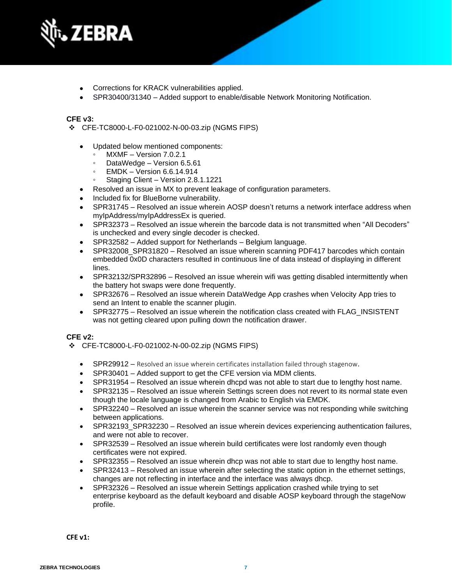

- Corrections for KRACK vulnerabilities applied.
- SPR30400/31340 Added support to enable/disable Network Monitoring Notification.

### **CFE v3:**

- ❖ CFE-TC8000-L-F0-021002-N-00-03.zip (NGMS FIPS)
	- Updated below mentioned components:
		- MXMF Version 7.0.2.1
		- DataWedge Version 6.5.61
		- **EMDK Version 6.6.14.914**
		- Staging Client Version 2.8.1.1221
	- Resolved an issue in MX to prevent leakage of configuration parameters.
	- Included fix for BlueBorne vulnerability.
	- SPR31745 Resolved an issue wherein AOSP doesn't returns a network interface address when myIpAddress/myIpAddressEx is queried.
	- SPR32373 Resolved an issue wherein the barcode data is not transmitted when "All Decoders" is unchecked and every single decoder is checked.
	- SPR32582 Added support for Netherlands Belgium language.
	- SPR32008 SPR31820 Resolved an issue wherein scanning PDF417 barcodes which contain embedded 0x0D characters resulted in continuous line of data instead of displaying in different lines.
	- SPR32132/SPR32896 Resolved an issue wherein wifi was getting disabled intermittently when the battery hot swaps were done frequently.
	- SPR32676 Resolved an issue wherein DataWedge App crashes when Velocity App tries to send an Intent to enable the scanner plugin.
	- SPR32775 Resolved an issue wherein the notification class created with FLAG\_INSISTENT was not getting cleared upon pulling down the notification drawer.

### **CFE v2:**

- ❖ CFE-TC8000-L-F0-021002-N-00-02.zip (NGMS FIPS)
	- SPR29912 Resolved an issue wherein certificates installation failed through stagenow.
	- SPR30401 Added support to get the CFE version via MDM clients.
	- SPR31954 Resolved an issue wherein dhcpd was not able to start due to lengthy host name.
	- SPR32135 Resolved an issue wherein Settings screen does not revert to its normal state even though the locale language is changed from Arabic to English via EMDK.
	- SPR32240 Resolved an issue wherein the scanner service was not responding while switching between applications.
	- SPR32193\_SPR32230 Resolved an issue wherein devices experiencing authentication failures, and were not able to recover.
	- SPR32539 Resolved an issue wherein build certificates were lost randomly even though certificates were not expired.
	- SPR32355 Resolved an issue wherein dhcp was not able to start due to lengthy host name.
	- SPR32413 Resolved an issue wherein after selecting the static option in the ethernet settings, changes are not reflecting in interface and the interface was always dhcp.
	- SPR32326 Resolved an issue wherein Settings application crashed while trying to set enterprise keyboard as the default keyboard and disable AOSP keyboard through the stageNow profile.

**CFE v1:**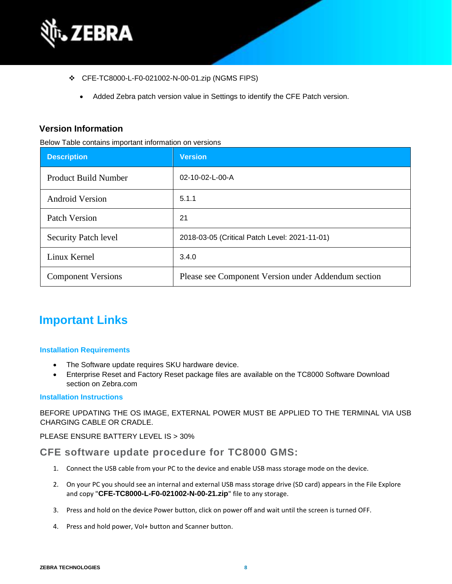

- ❖ CFE-TC8000-L-F0-021002-N-00-01.zip (NGMS FIPS)
	- Added Zebra patch version value in Settings to identify the CFE Patch version.

## **Version Information**

Below Table contains important information on versions

| <b>Description</b>          | <b>Version</b>                                      |
|-----------------------------|-----------------------------------------------------|
| <b>Product Build Number</b> | $02 - 10 - 02 - L - 00 - A$                         |
| <b>Android Version</b>      | 5.1.1                                               |
| Patch Version               | 21                                                  |
| <b>Security Patch level</b> | 2018-03-05 (Critical Patch Level: 2021-11-01)       |
| Linux Kernel                | 3.4.0                                               |
| <b>Component Versions</b>   | Please see Component Version under Addendum section |

## **Important Links**

### **Installation Requirements**

- The Software update requires SKU hardware device.
- Enterprise Reset and Factory Reset package files are available on the TC8000 Software Download section on Zebra.com

### **Installation Instructions**

BEFORE UPDATING THE OS IMAGE, EXTERNAL POWER MUST BE APPLIED TO THE TERMINAL VIA USB CHARGING CABLE OR CRADLE.

PLEASE ENSURE BATTERY LEVEL IS > 30%

## **CFE software update procedure for TC8000 GMS:**

- 1. Connect the USB cable from your PC to the device and enable USB mass storage mode on the device.
- 2. On your PC you should see an internal and external USB mass storage drive (SD card) appears in the File Explore and copy "**CFE-TC8000-L-F0-021002-N-00-21.zip**" file to any storage.
- 3. Press and hold on the device Power button, click on power off and wait until the screen is turned OFF.
- 4. Press and hold power, Vol+ button and Scanner button.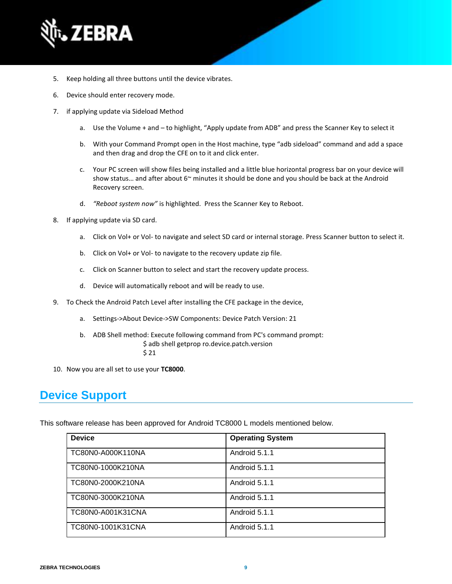

- 5. Keep holding all three buttons until the device vibrates.
- 6. Device should enter recovery mode.
- 7. if applying update via Sideload Method
	- a. Use the Volume + and to highlight, "Apply update from ADB" and press the Scanner Key to select it
	- b. With your Command Prompt open in the Host machine, type "adb sideload" command and add a space and then drag and drop the CFE on to it and click enter.
	- c. Your PC screen will show files being installed and a little blue horizontal progress bar on your device will show status... and after about  $6<sup>th</sup>$  minutes it should be done and you should be back at the Android Recovery screen.
	- d. *"Reboot system now"* is highlighted. Press the Scanner Key to Reboot.
- 8. If applying update via SD card.
	- a. Click on Vol+ or Vol- to navigate and select SD card or internal storage. Press Scanner button to select it.
	- b. Click on Vol+ or Vol- to navigate to the recovery update zip file.
	- c. Click on Scanner button to select and start the recovery update process.
	- d. Device will automatically reboot and will be ready to use.
- 9. To Check the Android Patch Level after installing the CFE package in the device,
	- a. Settings->About Device->SW Components: Device Patch Version: 21
	- b. ADB Shell method: Execute following command from PC's command prompt: \$ adb shell getprop ro.device.patch.version
		- \$ 21
- 10. Now you are all set to use your **TC8000**.

## **Device Support**

This software release has been approved for Android TC8000 L models mentioned below.

| <b>Device</b>     | <b>Operating System</b> |
|-------------------|-------------------------|
| TC80N0-A000K110NA | Android 5.1.1           |
| TC80N0-1000K210NA | Android 5.1.1           |
| TC80N0-2000K210NA | Android 5.1.1           |
| TC80N0-3000K210NA | Android 5.1.1           |
| TC80N0-A001K31CNA | Android 5.1.1           |
| TC80N0-1001K31CNA | Android 5.1.1           |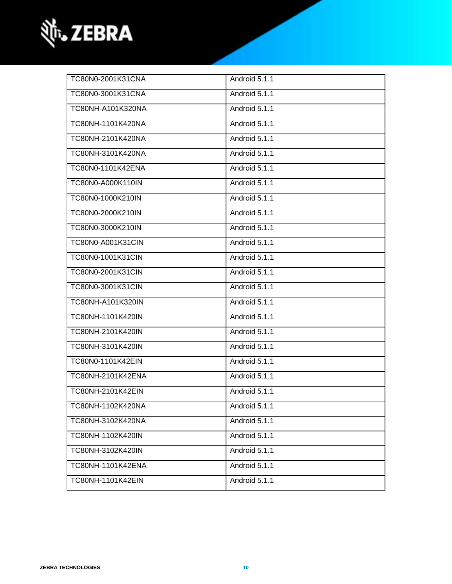

| TC80N0-2001K31CNA | Android 5.1.1 |
|-------------------|---------------|
| TC80N0-3001K31CNA | Android 5.1.1 |
| TC80NH-A101K320NA | Android 5.1.1 |
| TC80NH-1101K420NA | Android 5.1.1 |
| TC80NH-2101K420NA | Android 5.1.1 |
| TC80NH-3101K420NA | Android 5.1.1 |
| TC80N0-1101K42ENA | Android 5.1.1 |
| TC80N0-A000K110IN | Android 5.1.1 |
| TC80N0-1000K210IN | Android 5.1.1 |
| TC80N0-2000K210IN | Android 5.1.1 |
| TC80N0-3000K210IN | Android 5.1.1 |
| TC80N0-A001K31CIN | Android 5.1.1 |
| TC80N0-1001K31CIN | Android 5.1.1 |
| TC80N0-2001K31CIN | Android 5.1.1 |
| TC80N0-3001K31CIN | Android 5.1.1 |
| TC80NH-A101K320IN | Android 5.1.1 |
| TC80NH-1101K420IN | Android 5.1.1 |
| TC80NH-2101K420IN | Android 5.1.1 |
| TC80NH-3101K420IN | Android 5.1.1 |
| TC80N0-1101K42EIN | Android 5.1.1 |
| TC80NH-2101K42ENA | Android 5.1.1 |
| TC80NH-2101K42EIN | Android 5.1.1 |
| TC80NH-1102K420NA | Android 5.1.1 |
| TC80NH-3102K420NA | Android 5.1.1 |
| TC80NH-1102K420IN | Android 5.1.1 |
| TC80NH-3102K420IN | Android 5.1.1 |
| TC80NH-1101K42ENA | Android 5.1.1 |
| TC80NH-1101K42EIN | Android 5.1.1 |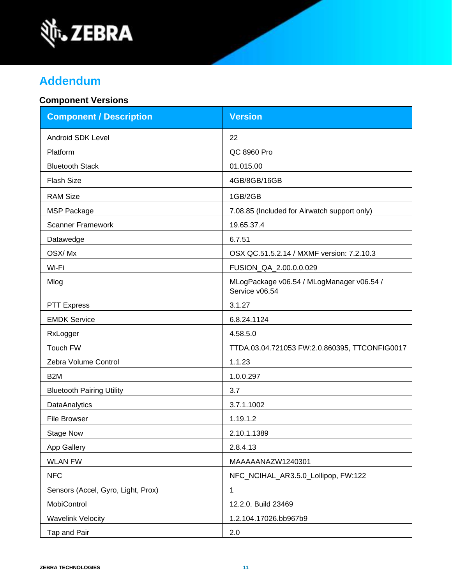

# **Addendum**

## **Component Versions**

| <b>Component / Description</b>     | <b>Version</b>                                              |  |
|------------------------------------|-------------------------------------------------------------|--|
| <b>Android SDK Level</b>           | 22                                                          |  |
| Platform                           | QC 8960 Pro                                                 |  |
| <b>Bluetooth Stack</b>             | 01.015.00                                                   |  |
| <b>Flash Size</b>                  | 4GB/8GB/16GB                                                |  |
| <b>RAM Size</b>                    | 1GB/2GB                                                     |  |
| <b>MSP Package</b>                 | 7.08.85 (Included for Airwatch support only)                |  |
| <b>Scanner Framework</b>           | 19.65.37.4                                                  |  |
| Datawedge                          | 6.7.51                                                      |  |
| OSX/Mx                             | OSX QC.51.5.2.14 / MXMF version: 7.2.10.3                   |  |
| Wi-Fi                              | FUSION_QA_2.00.0.0.029                                      |  |
| Mlog                               | MLogPackage v06.54 / MLogManager v06.54 /<br>Service v06.54 |  |
| <b>PTT Express</b>                 | 3.1.27                                                      |  |
| <b>EMDK Service</b>                | 6.8.24.1124                                                 |  |
| RxLogger                           | 4.58.5.0                                                    |  |
| Touch FW                           | TTDA.03.04.721053 FW:2.0.860395, TTCONFIG0017               |  |
| Zebra Volume Control               | 1.1.23                                                      |  |
| B <sub>2</sub> M                   | 1.0.0.297                                                   |  |
| <b>Bluetooth Pairing Utility</b>   | 3.7                                                         |  |
| <b>DataAnalytics</b>               | 3.7.1.1002                                                  |  |
| <b>File Browser</b>                | 1.19.1.2                                                    |  |
| <b>Stage Now</b>                   | 2.10.1.1389                                                 |  |
| App Gallery                        | 2.8.4.13                                                    |  |
| <b>WLAN FW</b>                     | MAAAAANAZW1240301                                           |  |
| <b>NFC</b>                         | NFC_NCIHAL_AR3.5.0_Lollipop, FW:122                         |  |
| Sensors (Accel, Gyro, Light, Prox) | 1                                                           |  |
| MobiControl                        | 12.2.0. Build 23469                                         |  |
| <b>Wavelink Velocity</b>           | 1.2.104.17026.bb967b9                                       |  |
| Tap and Pair                       | 2.0                                                         |  |